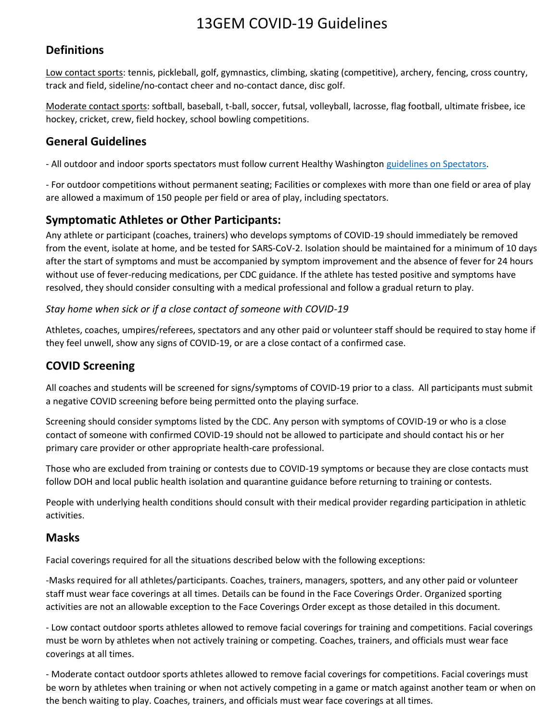# 13GEM COVID-19 Guidelines

#### **Definitions**

Low contact sports: tennis, pickleball, golf, gymnastics, climbing, skating (competitive), archery, fencing, cross country, track and field, sideline/no-contact cheer and no-contact dance, disc golf.

Moderate contact sports: softball, baseball, t-ball, soccer, futsal, volleyball, lacrosse, flag football, ultimate frisbee, ice hockey, cricket, crew, field hockey, school bowling competitions.

#### **General Guidelines**

- All outdoor and indoor sports spectators must follow current Healthy Washington [guidelines on Spectators.](https://www.governor.wa.gov/sites/default/files/COVID19%20Spectator%20Event%20Guidance.pdf)

- For outdoor competitions without permanent seating; Facilities or complexes with more than one field or area of play are allowed a maximum of 150 people per field or area of play, including spectators.

#### **Symptomatic Athletes or Other Participants:**

Any athlete or participant (coaches, trainers) who develops symptoms of COVID-19 should immediately be removed from the event, isolate at home, and be tested for SARS-CoV-2. Isolation should be maintained for a minimum of 10 days after the start of symptoms and must be accompanied by symptom improvement and the absence of fever for 24 hours without use of fever-reducing medications, per CDC guidance. If the athlete has tested positive and symptoms have resolved, they should consider consulting with a medical professional and follow a gradual return to play.

#### *Stay home when sick or if a close contact of someone with COVID-19*

Athletes, coaches, umpires/referees, spectators and any other paid or volunteer staff should be required to stay home if they feel unwell, show any signs of COVID-19, or are a close contact of a confirmed case.

### **COVID Screening**

All coaches and students will be screened for signs/symptoms of COVID-19 prior to a class. All participants must submit a negative COVID screening before being permitted onto the playing surface.

Screening should consider symptoms listed by the CDC. Any person with symptoms of COVID-19 or who is a close contact of someone with confirmed COVID-19 should not be allowed to participate and should contact his or her primary care provider or other appropriate health-care professional.

Those who are excluded from training or contests due to COVID-19 symptoms or because they are close contacts must follow DOH and local public health isolation and quarantine guidance before returning to training or contests.

People with underlying health conditions should consult with their medical provider regarding participation in athletic activities.

#### **Masks**

Facial coverings required for all the situations described below with the following exceptions:

-Masks required for all athletes/participants. Coaches, trainers, managers, spotters, and any other paid or volunteer staff must wear face coverings at all times. Details can be found in the Face Coverings Order. Organized sporting activities are not an allowable exception to the Face Coverings Order except as those detailed in this document.

- Low contact outdoor sports athletes allowed to remove facial coverings for training and competitions. Facial coverings must be worn by athletes when not actively training or competing. Coaches, trainers, and officials must wear face coverings at all times.

- Moderate contact outdoor sports athletes allowed to remove facial coverings for competitions. Facial coverings must be worn by athletes when training or when not actively competing in a game or match against another team or when on the bench waiting to play. Coaches, trainers, and officials must wear face coverings at all times.